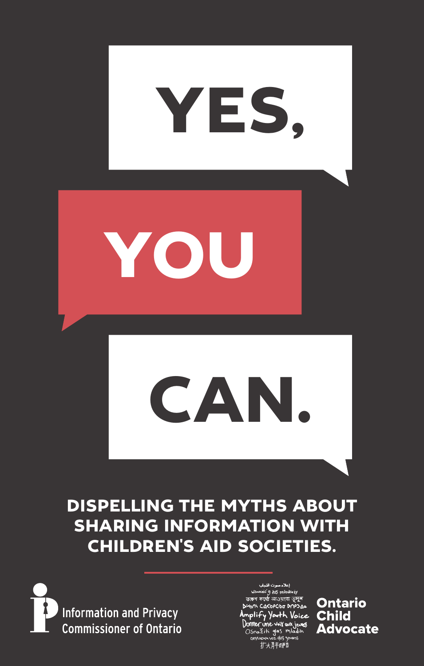

DISPELLING THE MYTHS ABOUT SHARING INFORMATION WITH CHILDREN'S AID SOCIETIES.



Ontario **Child Advocate**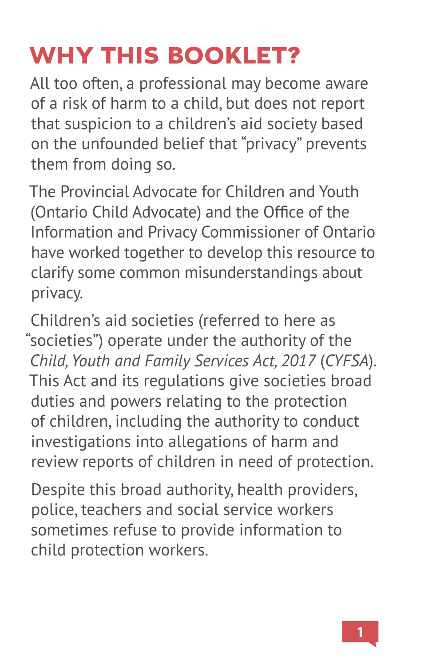## WHY THIS BOOKLET?

All too often, a professional may become aware of a risk of harm to a child, but does not report that suspicion to a children's aid society based on the unfounded belief that "privacy" prevents them from doing so.

The Provincial Advocate for Children and Youth (Ontario Child Advocate) and the Office of the Information and Privacy Commissioner of Ontario have worked together to develop this resource to clarify some common misunderstandings about privacy.

Children's aid societies (referred to here as "societies") operate under the authority of the *Child, Youth and Family Services Act, 2017* (*CYFSA*). This Act and its regulations give societies broad duties and powers relating to the protection of children, including the authority to conduct investigations into allegations of harm and review reports of children in need of protection.

Despite this broad authority, health providers, police, teachers and social service workers sometimes refuse to provide information to child protection workers.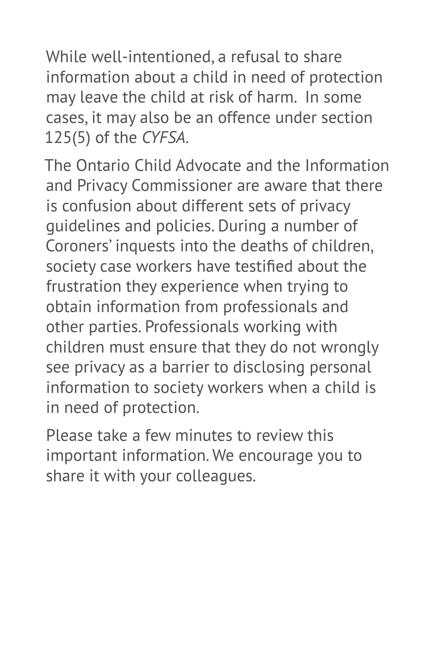While well-intentioned, a refusal to share information about a child in need of protection may leave the child at risk of harm. In some cases, it may also be an offence under section 125(5) of the *CYFSA*.

The Ontario Child Advocate and the Information and Privacy Commissioner are aware that there is confusion about different sets of privacy guidelines and policies. During a number of Coroners' inquests into the deaths of children, society case workers have testified about the frustration they experience when trying to obtain information from professionals and other parties. Professionals working with children must ensure that they do not wrongly see privacy as a barrier to disclosing personal information to society workers when a child is in need of protection.

Please take a few minutes to review this important information. We encourage you to share it with your colleagues.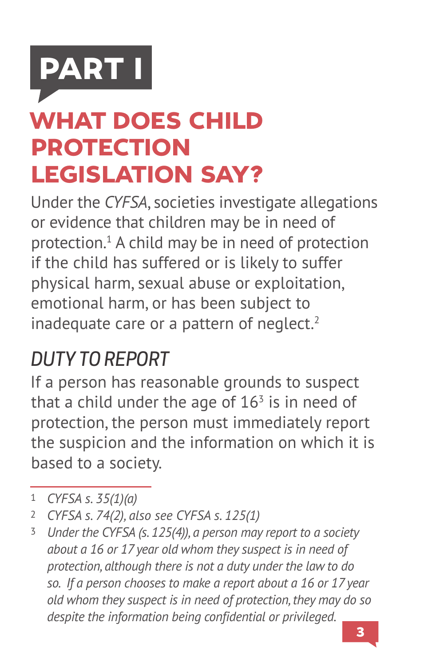

### WHAT DOES CHILD PROTECTION LEGISLATION SAY?

Under the *CYFSA*, societies investigate allegations or evidence that children may be in need of protection.<sup>1</sup> A child may be in need of protection if the child has suffered or is likely to suffer physical harm, sexual abuse or exploitation, emotional harm, or has been subject to inadequate care or a pattern of neglect.<sup>2</sup>

### *DUTY TO REPORT*

If a person has reasonable grounds to suspect that a child under the age of  $16<sup>3</sup>$  is in need of protection, the person must immediately report the suspicion and the information on which it is based to a society.

<sup>1</sup> *CYFSA s. 35(1)(a)*

<sup>2</sup> *CYFSA s. 74(2), also see CYFSA s. 125(1)*

<sup>3</sup> *Under the CYFSA (s. 125(4)), a person may report to a society about a 16 or 17 year old whom they suspect is in need of protection, although there is not a duty under the law to do so. If a person chooses to make a report about a 16 or 17 year old whom they suspect is in need of protection, they may do so despite the information being confidential or privileged.*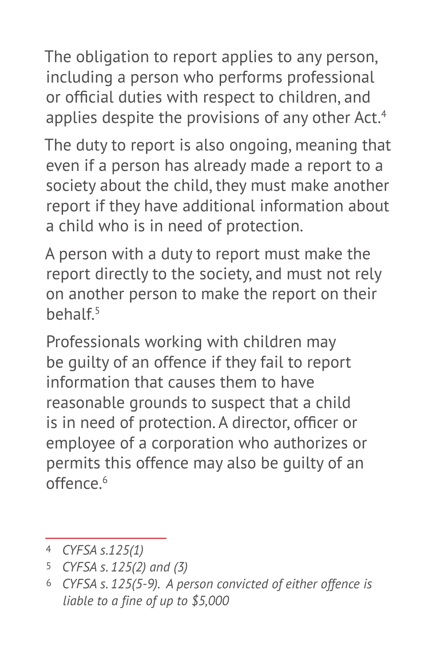The obligation to report applies to any person, including a person who performs professional or official duties with respect to children, and applies despite the provisions of any other Act.<sup>4</sup>

The duty to report is also ongoing, meaning that even if a person has already made a report to a society about the child, they must make another report if they have additional information about a child who is in need of protection.

A person with a duty to report must make the report directly to the society, and must not rely on another person to make the report on their hehalf $5$ 

Professionals working with children may be guilty of an offence if they fail to report information that causes them to have reasonable grounds to suspect that a child is in need of protection. A director, officer or employee of a corporation who authorizes or permits this offence may also be guilty of an  $offence<sup>6</sup>$ 

<sup>4</sup> *CYFSA s.125(1)*

<sup>5</sup> *CYFSA s. 125(2) and (3)*

<sup>6</sup> *CYFSA s. 125(5-9). A person convicted of either offence is liable to a fine of up to \$5,000*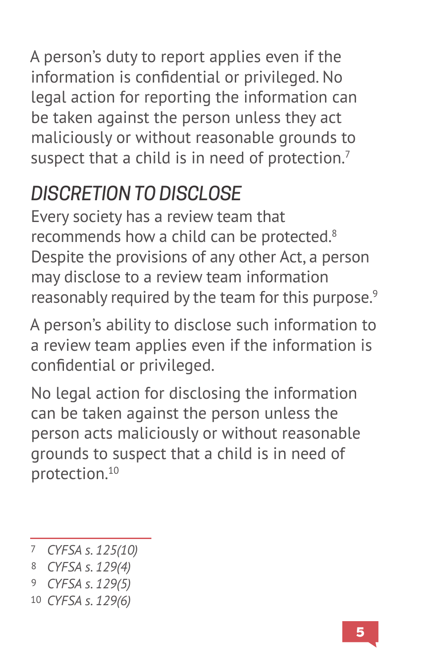A person's duty to report applies even if the information is confidential or privileged. No legal action for reporting the information can be taken against the person unless they act maliciously or without reasonable grounds to suspect that a child is in need of protection.<sup>7</sup>

### *DISCRETION TO DISCLOSE*

Every society has a review team that recommends how a child can be protected.<sup>8</sup> Despite the provisions of any other Act, a person may disclose to a review team information reasonably required by the team for this purpose.<sup>9</sup>

A person's ability to disclose such information to a review team applies even if the information is confidential or privileged.

No legal action for disclosing the information can be taken against the person unless the person acts maliciously or without reasonable grounds to suspect that a child is in need of protection.10

<sup>7</sup> *CYFSA s. 125(10)*

<sup>8</sup> *CYFSA s. 129(4)*

<sup>9</sup> *CYFSA s. 129(5)*

<sup>10</sup> *CYFSA s. 129(6)*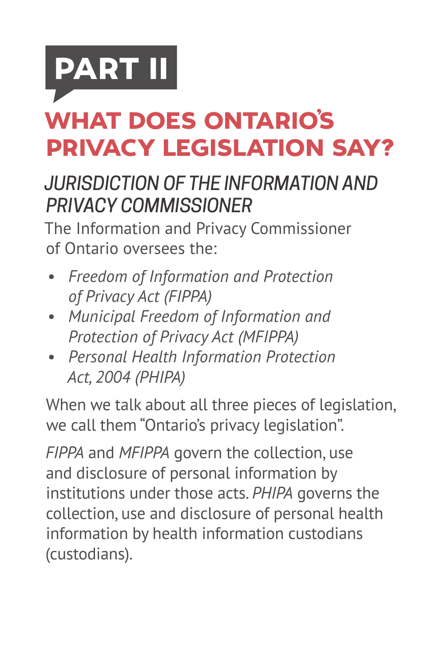PART II

## WHAT DOES ONTARIO'S PRIVACY LEGISLATION SAY?

#### *JURISDICTION OF THE INFORMATION AND PRIVACY COMMISSIONER*

The Information and Privacy Commissioner of Ontario oversees the:

- *Freedom of Information and Protection of Privacy Act (FIPPA)*
- *Municipal Freedom of Information and Protection of Privacy Act (MFIPPA)*
- *Personal Health Information Protection Act, 2004 (PHIPA)*

When we talk about all three pieces of legislation, we call them "Ontario's privacy legislation".

*FIPPA* and *MFIPPA* govern the collection, use and disclosure of personal information by institutions under those acts. *PHIPA* governs the collection, use and disclosure of personal health information by health information custodians (custodians).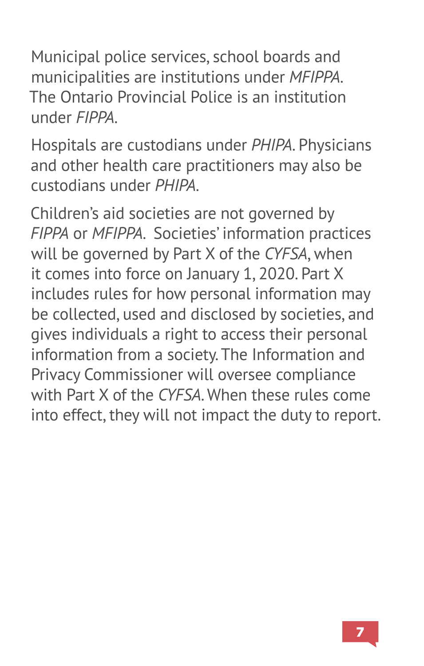Municipal police services, school boards and municipalities are institutions under *MFIPPA*. The Ontario Provincial Police is an institution under *FIPPA*.

Hospitals are custodians under *PHIPA*. Physicians and other health care practitioners may also be custodians under *PHIPA*.

Children's aid societies are not governed by *FIPPA* or *MFIPPA*. Societies' information practices will be governed by Part X of the *CYFSA*, when it comes into force on January 1, 2020. Part X includes rules for how personal information may be collected, used and disclosed by societies, and gives individuals a right to access their personal information from a society. The Information and Privacy Commissioner will oversee compliance with Part X of the *CYFSA*. When these rules come into effect, they will not impact the duty to report.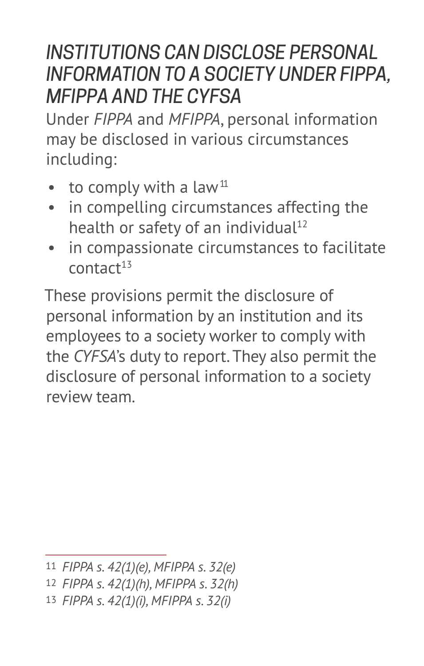#### *INSTITUTIONS CAN DISCLOSE PERSONAL INFORMATION TO A SOCIETY UNDER FIPPA, MFIPPA AND THE CYFSA*

Under *FIPPA* and *MFIPPA*, personal information may be disclosed in various circumstances including:

- to comply with a law<sup>11</sup>
- in compelling circumstances affecting the health or safety of an individual<sup>12</sup>
- in compassionate circumstances to facilitate  $contract<sup>13</sup>$

These provisions permit the disclosure of personal information by an institution and its employees to a society worker to comply with the *CYFSA*'s duty to report. They also permit the disclosure of personal information to a society review team.

<sup>11</sup> *FIPPA s. 42(1)(e), MFIPPA s. 32(e)*

<sup>12</sup> *FIPPA s. 42(1)(h), MFIPPA s. 32(h)*

<sup>13</sup> *FIPPA s. 42(1)(i), MFIPPA s. 32(i)*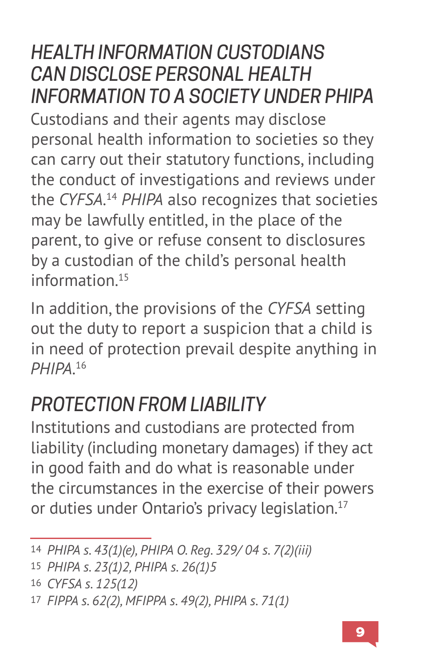#### *HEALTH INFORMATION CUSTODIANS CAN DISCLOSE PERSONAL HEALTH INFORMATION TO A SOCIETY UNDER PHIPA*

Custodians and their agents may disclose personal health information to societies so they can carry out their statutory functions, including the conduct of investigations and reviews under the *CYFSA*. <sup>14</sup> *PHIPA* also recognizes that societies may be lawfully entitled, in the place of the parent, to give or refuse consent to disclosures by a custodian of the child's personal health information $15$ 

In addition, the provisions of the *CYFSA* setting out the duty to report a suspicion that a child is in need of protection prevail despite anything in *PHIPA*. 16

### *PROTECTION FROM LIABILITY*

Institutions and custodians are protected from liability (including monetary damages) if they act in good faith and do what is reasonable under the circumstances in the exercise of their powers or duties under Ontario's privacy legislation.<sup>17</sup>

<sup>14</sup> *PHIPA s. 43(1)(e), PHIPA O. Reg. 329/ 04 s. 7(2)(iii)*

<sup>15</sup> *PHIPA s. 23(1)2, PHIPA s. 26(1)5*

<sup>16</sup> *CYFSA s. 125(12)*

<sup>17</sup> *FIPPA s. 62(2), MFIPPA s. 49(2), PHIPA s. 71(1)*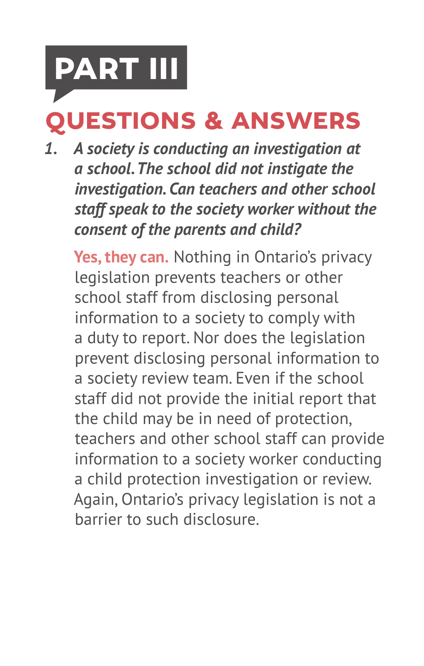# PART III

### QUESTIONS & ANSWERS

*1. A society is conducting an investigation at a school. The school did not instigate the investigation. Can teachers and other school staff speak to the society worker without the consent of the parents and child?*

Yes, they can. Nothing in Ontario's privacy legislation prevents teachers or other school staff from disclosing personal information to a society to comply with a duty to report. Nor does the legislation prevent disclosing personal information to a society review team. Even if the school staff did not provide the initial report that the child may be in need of protection, teachers and other school staff can provide information to a society worker conducting a child protection investigation or review. Again, Ontario's privacy legislation is not a barrier to such disclosure.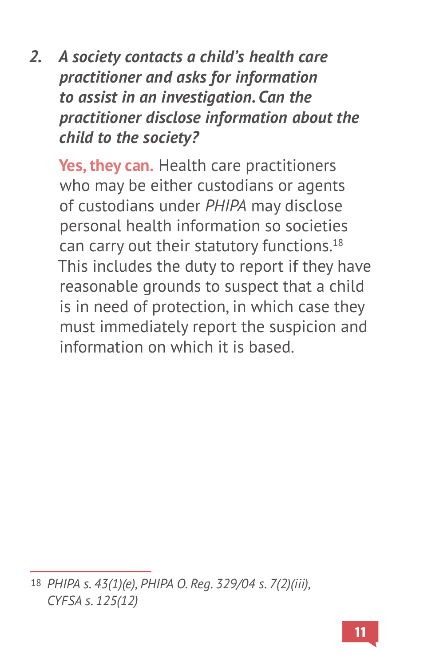*2. A society contacts a child's health care practitioner and asks for information to assist in an investigation. Can the practitioner disclose information about the child to the society?* 

**Yes, they can.** Health care practitioners who may be either custodians or agents of custodians under *PHIPA* may disclose personal health information so societies can carry out their statutory functions.<sup>18</sup> This includes the duty to report if they have reasonable grounds to suspect that a child is in need of protection, in which case they must immediately report the suspicion and information on which it is based.

<sup>18</sup> *PHIPA s. 43(1)(e), PHIPA O. Reg. 329/04 s. 7(2)(iii), CYFSA s. 125(12)*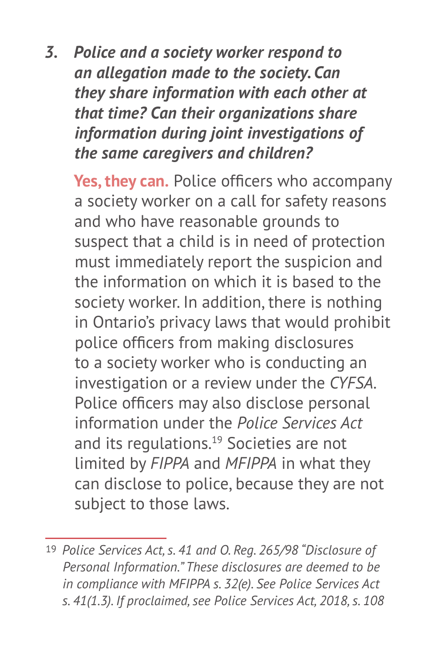*3. Police and a society worker respond to an allegation made to the society. Can they share information with each other at that time? Can their organizations share information during joint investigations of the same caregivers and children?* 

 **Yes, they can.** Police officers who accompany a society worker on a call for safety reasons and who have reasonable grounds to suspect that a child is in need of protection must immediately report the suspicion and the information on which it is based to the society worker. In addition, there is nothing in Ontario's privacy laws that would prohibit police officers from making disclosures to a society worker who is conducting an investigation or a review under the *CYFSA*. Police officers may also disclose personal information under the *Police Services Act* and its regulations.<sup>19</sup> Societies are not limited by *FIPPA* and *MFIPPA* in what they can disclose to police, because they are not subject to those laws.

<sup>19</sup> *Police Services Act, s. 41 and O. Reg. 265/98 "Disclosure of Personal Information." These disclosures are deemed to be in compliance with MFIPPA s. 32(e). See Police Services Act s. 41(1.3). If proclaimed, see Police Services Act, 2018, s. 108*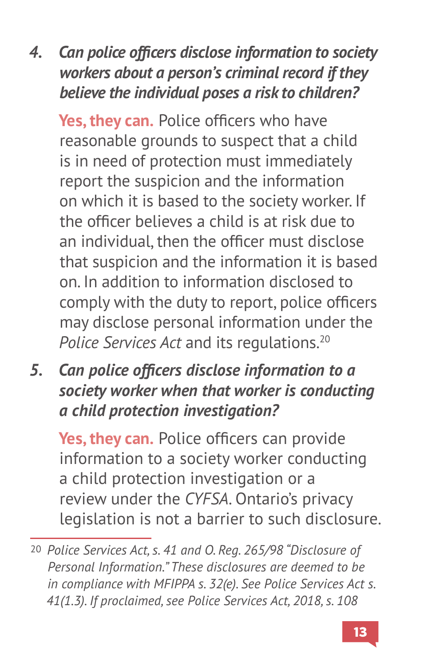*4. Can police officers disclose information to society workers about a person's criminal record if they believe the individual poses a risk to children?* 

 **Yes, they can.** Police officers who have reasonable grounds to suspect that a child is in need of protection must immediately report the suspicion and the information on which it is based to the society worker. If the officer believes a child is at risk due to an individual, then the officer must disclose that suspicion and the information it is based on. In addition to information disclosed to comply with the duty to report, police officers may disclose personal information under the Police Services Act and its regulations.<sup>20</sup>

*5. Can police officers disclose information to a society worker when that worker is conducting a child protection investigation?* 

**Yes, they can.** Police officers can provide information to a society worker conducting a child protection investigation or a review under the *CYFSA*. Ontario's privacy legislation is not a barrier to such disclosure.

<sup>20</sup> *Police Services Act, s. 41 and O. Reg. 265/98 "Disclosure of Personal Information." These disclosures are deemed to be in compliance with MFIPPA s. 32(e). See Police Services Act s. 41(1.3). If proclaimed, see Police Services Act, 2018, s. 108*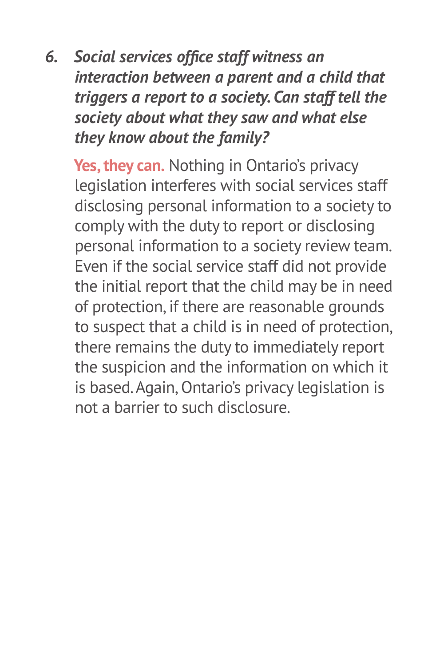*6. Social services office staff witness an interaction between a parent and a child that triggers a report to a society. Can staff tell the society about what they saw and what else they know about the family?* 

**Yes, they can.** Nothing in Ontario's privacy legislation interferes with social services staff disclosing personal information to a society to comply with the duty to report or disclosing personal information to a society review team. Even if the social service staff did not provide the initial report that the child may be in need of protection, if there are reasonable grounds to suspect that a child is in need of protection, there remains the duty to immediately report the suspicion and the information on which it is based. Again, Ontario's privacy legislation is not a barrier to such disclosure.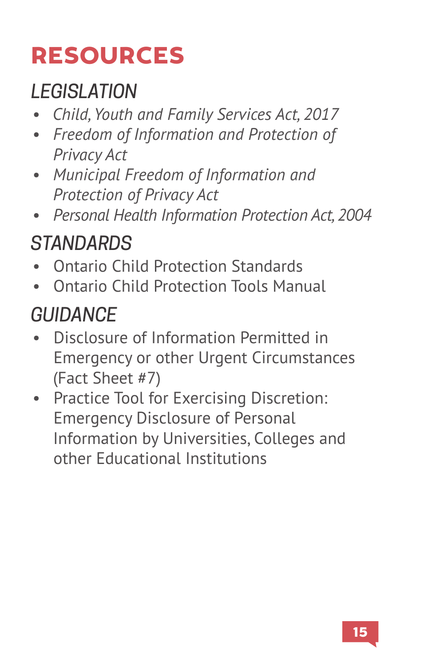### RESOURCES

### *LEGISLATION*

- *Child, Youth and Family Services Act, 2017*
- *Freedom of Information and Protection of Privacy Act*
- *Municipal Freedom of Information and Protection of Privacy Act*
- *Personal Health Information Protection Act, 2004*

### *STANDARDS*

- Ontario Child Protection Standards
- Ontario Child Protection Tools Manual

### *GUIDANCE*

- Disclosure of Information Permitted in Emergency or other Urgent Circumstances (Fact Sheet #7)
- Practice Tool for Exercising Discretion: Emergency Disclosure of Personal Information by Universities, Colleges and other Educational Institutions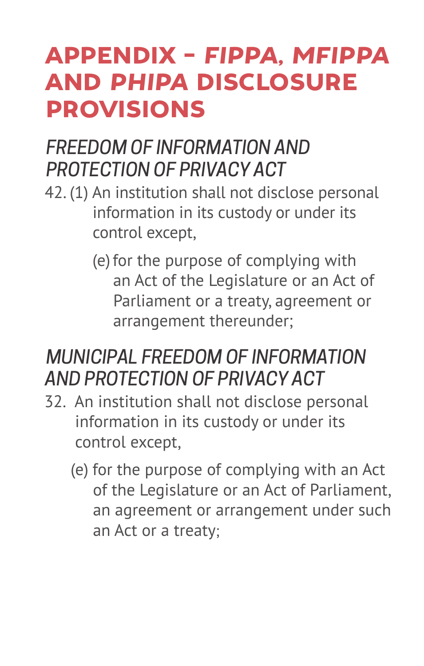### APPENDIX – *FIPPA, MFIPPA* AND *PHIPA* DISCLOSURE PROVISIONS

### *FREEDOM OF INFORMATION AND PROTECTION OF PRIVACY ACT*

- 42. (1) An institution shall not disclose personal information in its custody or under its control except,
	- (e) for the purpose of complying with an Act of the Legislature or an Act of Parliament or a treaty, agreement or arrangement thereunder;

#### *MUNICIPAL FREEDOM OF INFORMATION AND PROTECTION OF PRIVACY ACT*

- 32. An institution shall not disclose personal information in its custody or under its control except,
	- (e) for the purpose of complying with an Act of the Legislature or an Act of Parliament, an agreement or arrangement under such an Act or a treaty;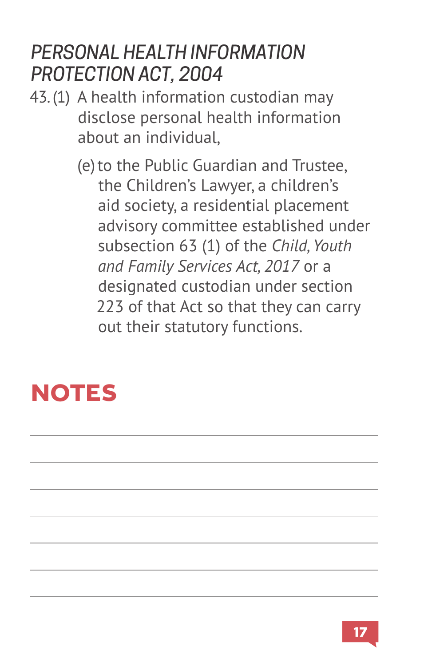#### *PERSONAL HEALTH INFORMATION PROTECTION ACT, 2004*

- 43. (1) A health information custodian may disclose personal health information about an individual,
	- (e) to the Public Guardian and Trustee, the Children's Lawyer, a children's aid society, a residential placement advisory committee established under subsection 63 (1) of the *Child, Youth and Family Services Act, 2017* or a designated custodian under section 223 of that Act so that they can carry out their statutory functions.

### **NOTES**